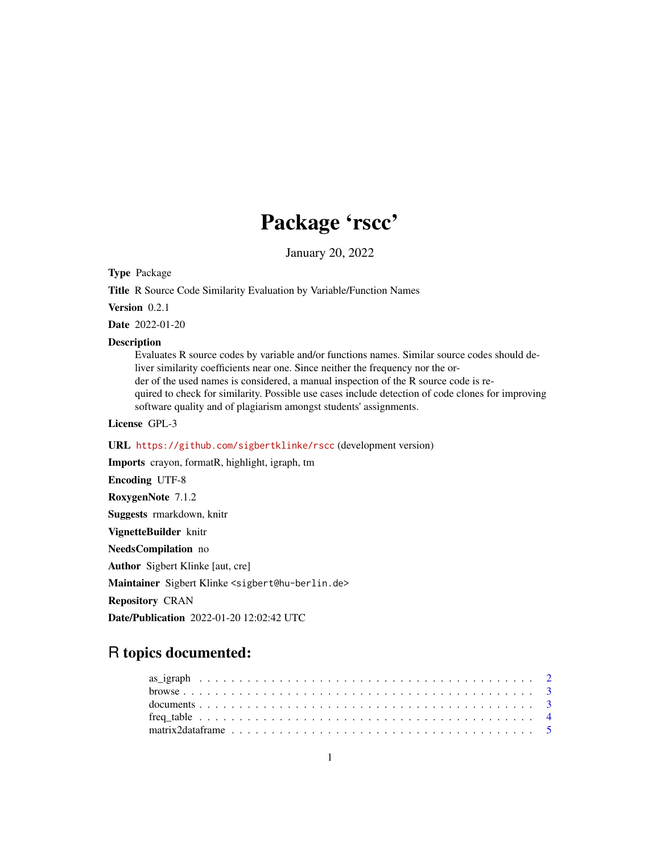# Package 'rscc'

January 20, 2022

<span id="page-0-0"></span>Type Package

Title R Source Code Similarity Evaluation by Variable/Function Names

Version 0.2.1

Date 2022-01-20

#### **Description**

Evaluates R source codes by variable and/or functions names. Similar source codes should deliver similarity coefficients near one. Since neither the frequency nor the order of the used names is considered, a manual inspection of the R source code is required to check for similarity. Possible use cases include detection of code clones for improving software quality and of plagiarism amongst students' assignments.

License GPL-3

URL <https://github.com/sigbertklinke/rscc> (development version)

Imports crayon, formatR, highlight, igraph, tm Encoding UTF-8 RoxygenNote 7.1.2 Suggests rmarkdown, knitr VignetteBuilder knitr NeedsCompilation no Author Sigbert Klinke [aut, cre] Maintainer Sigbert Klinke <sigbert@hu-berlin.de> Repository CRAN Date/Publication 2022-01-20 12:02:42 UTC

## R topics documented:

| matrix2data frame $\ldots \ldots \ldots \ldots \ldots \ldots \ldots \ldots \ldots \ldots \ldots \ldots \ldots$ |  |  |  |  |  |  |  |  |  |  |  |  |  |  |  |  |  |  |  |
|----------------------------------------------------------------------------------------------------------------|--|--|--|--|--|--|--|--|--|--|--|--|--|--|--|--|--|--|--|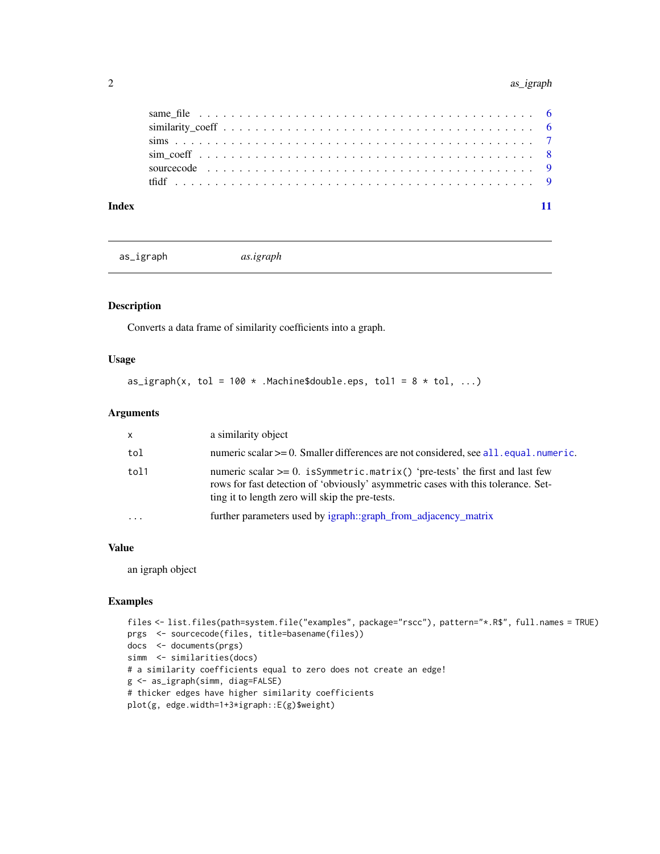#### <span id="page-1-0"></span>2 as the contract of the contract of the contract of the contract of the contract of the contract of the contract of the contract of the contract of the contract of the contract of the contract of the contract of the contr

| Index |  |  |  |  |  |  |  |  |  |  |  |  |  |  |  |  |  |  |
|-------|--|--|--|--|--|--|--|--|--|--|--|--|--|--|--|--|--|--|
|       |  |  |  |  |  |  |  |  |  |  |  |  |  |  |  |  |  |  |
|       |  |  |  |  |  |  |  |  |  |  |  |  |  |  |  |  |  |  |
|       |  |  |  |  |  |  |  |  |  |  |  |  |  |  |  |  |  |  |
|       |  |  |  |  |  |  |  |  |  |  |  |  |  |  |  |  |  |  |
|       |  |  |  |  |  |  |  |  |  |  |  |  |  |  |  |  |  |  |
|       |  |  |  |  |  |  |  |  |  |  |  |  |  |  |  |  |  |  |

as\_igraph *as.igraph*

#### Description

Converts a data frame of similarity coefficients into a graph.

#### Usage

as\_igraph(x, tol = 100  $*$  .Machine\$double.eps, tol1 = 8  $*$  tol, ...)

#### Arguments

| $\mathsf{x}$ | a similarity object                                                                                                                                                                                                      |
|--------------|--------------------------------------------------------------------------------------------------------------------------------------------------------------------------------------------------------------------------|
| tol          | numeric scalar $>= 0$ . Smaller differences are not considered, see all equal numeric.                                                                                                                                   |
| tol1         | numeric scalar $>= 0$ . is Symmetric matrix() 'pre-tests' the first and last few<br>rows for fast detection of 'obviously' asymmetric cases with this tolerance. Set-<br>ting it to length zero will skip the pre-tests. |
| $\ddotsc$    | further parameters used by igraph::graph_from_adjacency_matrix                                                                                                                                                           |

#### Value

an igraph object

#### Examples

```
files <- list.files(path=system.file("examples", package="rscc"), pattern="*.R$", full.names = TRUE)
prgs <- sourcecode(files, title=basename(files))
docs <- documents(prgs)
simm <- similarities(docs)
# a similarity coefficients equal to zero does not create an edge!
g <- as_igraph(simm, diag=FALSE)
# thicker edges have higher similarity coefficients
plot(g, edge.width=1+3*igraph::E(g)$weight)
```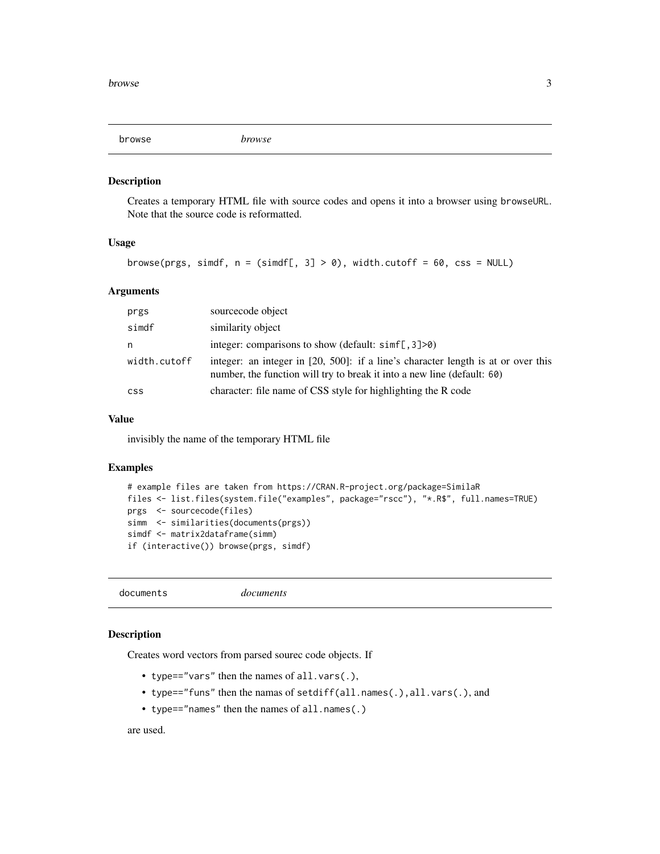<span id="page-2-0"></span>browse *browse*

#### Description

Creates a temporary HTML file with source codes and opens it into a browser using browseURL. Note that the source code is reformatted.

#### Usage

```
browse(prgs, simdf, n = (simdf[, 3] > 0), width.cutoff = 60, css = NULL)
```
#### Arguments

| prgs         | sourcecode object                                                                                                                                            |
|--------------|--------------------------------------------------------------------------------------------------------------------------------------------------------------|
| simdf        | similarity object                                                                                                                                            |
| n            | integer: comparisons to show (default: $\sin\left[\frac{1}{2}\right] > 0$ )                                                                                  |
| width.cutoff | integer: an integer in [20, 500]: if a line's character length is at or over this<br>number, the function will try to break it into a new line (default: 60) |
| <b>CSS</b>   | character: file name of CSS style for highlighting the R code                                                                                                |

#### Value

invisibly the name of the temporary HTML file

#### Examples

```
# example files are taken from https://CRAN.R-project.org/package=SimilaR
files <- list.files(system.file("examples", package="rscc"), "*.R$", full.names=TRUE)
prgs <- sourcecode(files)
simm <- similarities(documents(prgs))
simdf <- matrix2dataframe(simm)
if (interactive()) browse(prgs, simdf)
```
documents *documents*

#### Description

Creates word vectors from parsed sourec code objects. If

- type=="vars" then the names of all.vars(.),
- type=="funs" then the namas of setdiff(all.names(.),all.vars(.), and
- type=="names" then the names of all.names(.)

are used.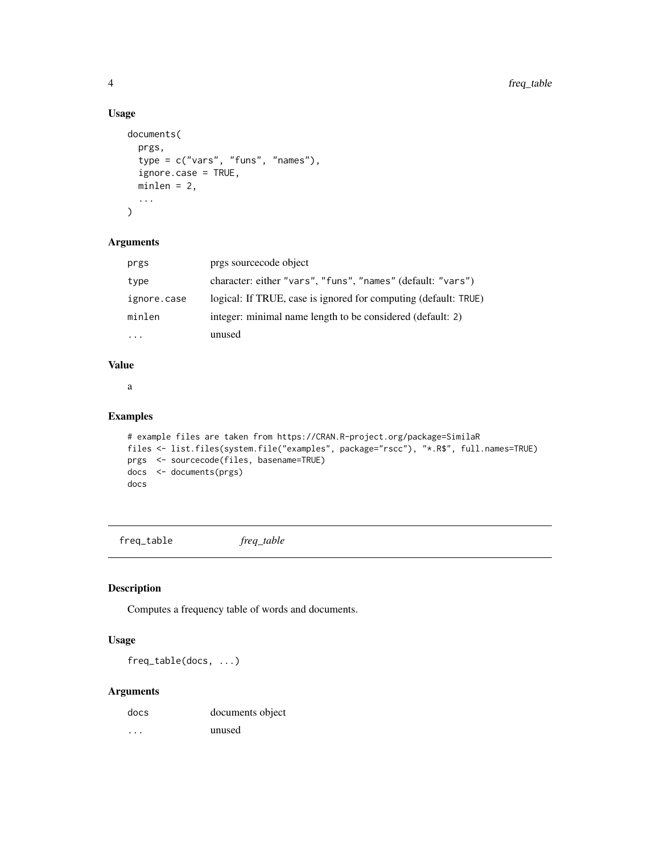#### Usage

```
documents(
  prgs,
  type = c("vars", "funs", "names"),
  ignore.case = TRUE,
 minlen = 2,
  ...
)
```
#### Arguments

| prgs        | prgs sourcecode object                                          |
|-------------|-----------------------------------------------------------------|
| type        | character: either "vars", "funs", "names" (default: "vars")     |
| ignore.case | logical: If TRUE, case is ignored for computing (default: TRUE) |
| minlen      | integer: minimal name length to be considered (default: 2)      |
|             | unused                                                          |

#### Value

a

#### Examples

```
# example files are taken from https://CRAN.R-project.org/package=SimilaR
files <- list.files(system.file("examples", package="rscc"), "*.R$", full.names=TRUE)
prgs <- sourcecode(files, basename=TRUE)
docs <- documents(prgs)
docs
```
freq\_table *freq\_table*

#### Description

Computes a frequency table of words and documents.

#### Usage

freq\_table(docs, ...)

#### Arguments

| docs | documents object |
|------|------------------|
| .    | unused           |

<span id="page-3-0"></span>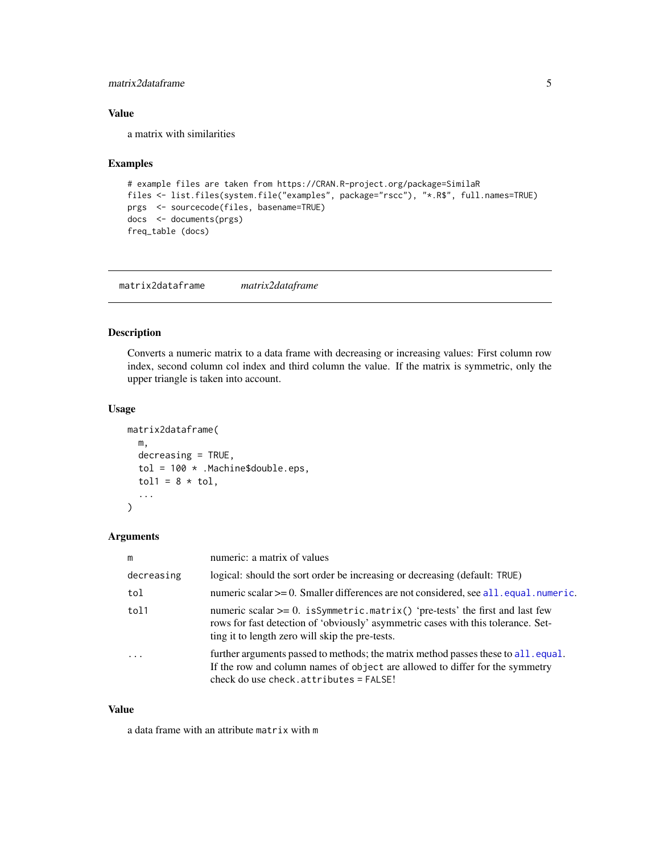#### <span id="page-4-0"></span>matrix2dataframe 5

#### Value

a matrix with similarities

#### Examples

```
# example files are taken from https://CRAN.R-project.org/package=SimilaR
files <- list.files(system.file("examples", package="rscc"), "*.R$", full.names=TRUE)
prgs <- sourcecode(files, basename=TRUE)
docs <- documents(prgs)
freq_table (docs)
```
matrix2dataframe *matrix2dataframe*

#### Description

Converts a numeric matrix to a data frame with decreasing or increasing values: First column row index, second column col index and third column the value. If the matrix is symmetric, only the upper triangle is taken into account.

#### Usage

```
matrix2dataframe(
 m,
  decreasing = TRUE,
  tol = 100 * .Machine$double.eps,
  tol1 = 8 * tol,...
)
```
#### Arguments

| m                       | numeric: a matrix of values                                                                                                                                                                                              |
|-------------------------|--------------------------------------------------------------------------------------------------------------------------------------------------------------------------------------------------------------------------|
| decreasing              | logical: should the sort order be increasing or decreasing (default: TRUE)                                                                                                                                               |
| tol                     | numeric scalar $>= 0$ . Smaller differences are not considered, see all. equal. numeric.                                                                                                                                 |
| tol1                    | numeric scalar $>= 0$ . is Symmetric matrix() 'pre-tests' the first and last few<br>rows for fast detection of 'obviously' asymmetric cases with this tolerance. Set-<br>ting it to length zero will skip the pre-tests. |
| $\cdot$ $\cdot$ $\cdot$ | further arguments passed to methods; the matrix method passes these to all. equal.<br>If the row and column names of object are allowed to differ for the symmetry<br>check do use check. $attribute = FALSE!$           |

#### Value

a data frame with an attribute matrix with m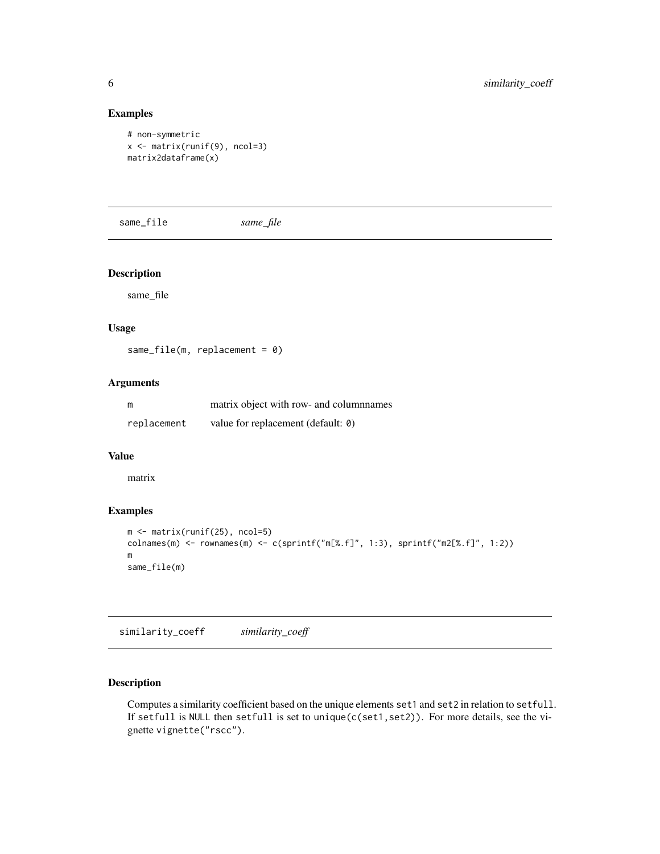#### Examples

```
# non-symmetric
x <- matrix(runif(9), ncol=3)
matrix2dataframe(x)
```
same\_file *same\_file*

#### Description

same\_file

#### Usage

```
same_file(m, replacement = 0)
```
#### Arguments

| m           | matrix object with row- and column ames |
|-------------|-----------------------------------------|
| replacement | value for replacement (default: 0)      |

#### Value

matrix

#### Examples

```
m <- matrix(runif(25), ncol=5)
colnames(m) <- rownames(m) <- c(sprintf("m[%.f]", 1:3), sprintf("m2[%.f]", 1:2))
m
same_file(m)
```
similarity\_coeff *similarity\_coeff*

#### Description

Computes a similarity coefficient based on the unique elements set1 and set2 in relation to setfull. If setfull is NULL then setfull is set to unique(c(set1,set2)). For more details, see the vignette vignette("rscc").

<span id="page-5-0"></span>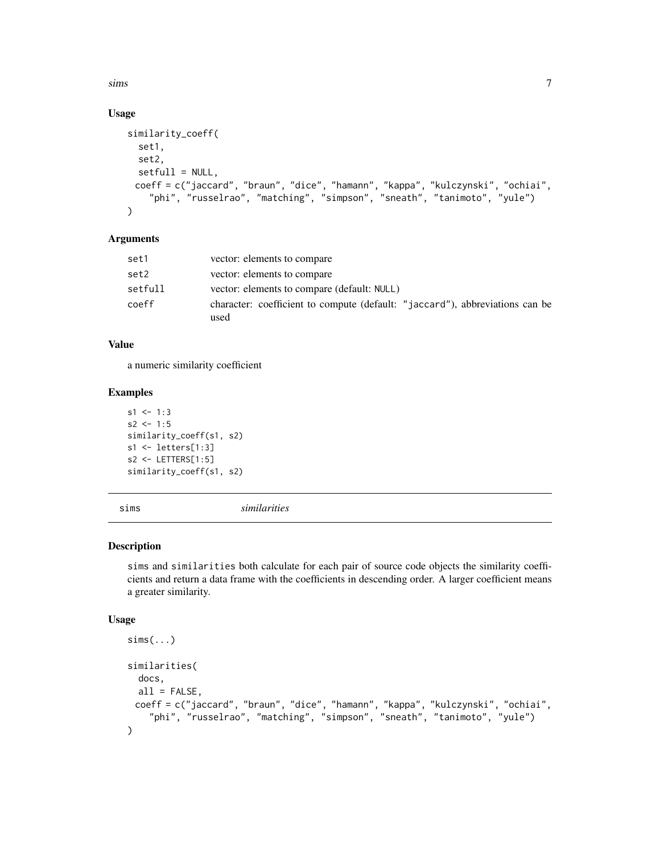<span id="page-6-0"></span> $sims$  7

#### Usage

```
similarity_coeff(
  set1,
  set2,
  setfull = NULL,
 coeff = c("jaccard", "braun", "dice", "hamann", "kappa", "kulczynski", "ochiai",
    "phi", "russelrao", "matching", "simpson", "sneath", "tanimoto", "yule")
)
```
#### Arguments

| set1    | vector: elements to compare                                                          |
|---------|--------------------------------------------------------------------------------------|
| set2    | vector: elements to compare                                                          |
| setfull | vector: elements to compare (default: NULL)                                          |
| coeff   | character: coefficient to compute (default: "jaccard"), abbreviations can be<br>used |

#### Value

a numeric similarity coefficient

#### Examples

```
s1 \le -1:3s2 < -1:5similarity_coeff(s1, s2)
s1 <- letters[1:3]
s2 <- LETTERS[1:5]
similarity_coeff(s1, s2)
```
sims *similarities*

#### Description

sims and similarities both calculate for each pair of source code objects the similarity coefficients and return a data frame with the coefficients in descending order. A larger coefficient means a greater similarity.

#### Usage

```
sims(...)
similarities(
 docs,
 all = FALSE,
 coeff = c("jaccard", "braun", "dice", "hamann", "kappa", "kulczynski", "ochiai",
    "phi", "russelrao", "matching", "simpson", "sneath", "tanimoto", "yule")
)
```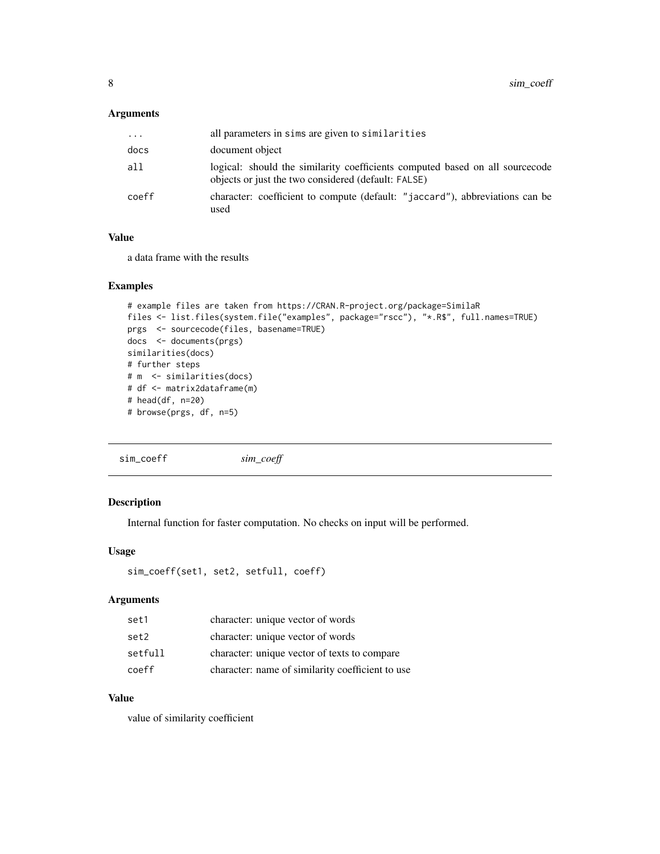#### <span id="page-7-0"></span>Arguments

| .     | all parameters in sims are given to similarities                                                                                     |
|-------|--------------------------------------------------------------------------------------------------------------------------------------|
| docs  | document object                                                                                                                      |
| all   | logical: should the similarity coefficients computed based on all source code<br>objects or just the two considered (default: FALSE) |
| coeff | character: coefficient to compute (default: "jaccard"), abbreviations can be<br>used                                                 |

#### Value

a data frame with the results

#### Examples

```
# example files are taken from https://CRAN.R-project.org/package=SimilaR
files <- list.files(system.file("examples", package="rscc"), "*.R$", full.names=TRUE)
prgs <- sourcecode(files, basename=TRUE)
docs <- documents(prgs)
similarities(docs)
# further steps
# m <- similarities(docs)
# df <- matrix2dataframe(m)
# head(df, n=20)
# browse(prgs, df, n=5)
```
sim\_coeff *sim\_coeff*

#### Description

Internal function for faster computation. No checks on input will be performed.

### Usage

```
sim_coeff(set1, set2, setfull, coeff)
```
#### Arguments

| set1    | character: unique vector of words                |
|---------|--------------------------------------------------|
| set2    | character: unique vector of words                |
| setfull | character: unique vector of texts to compare     |
| coeff   | character: name of similarity coefficient to use |

#### Value

value of similarity coefficient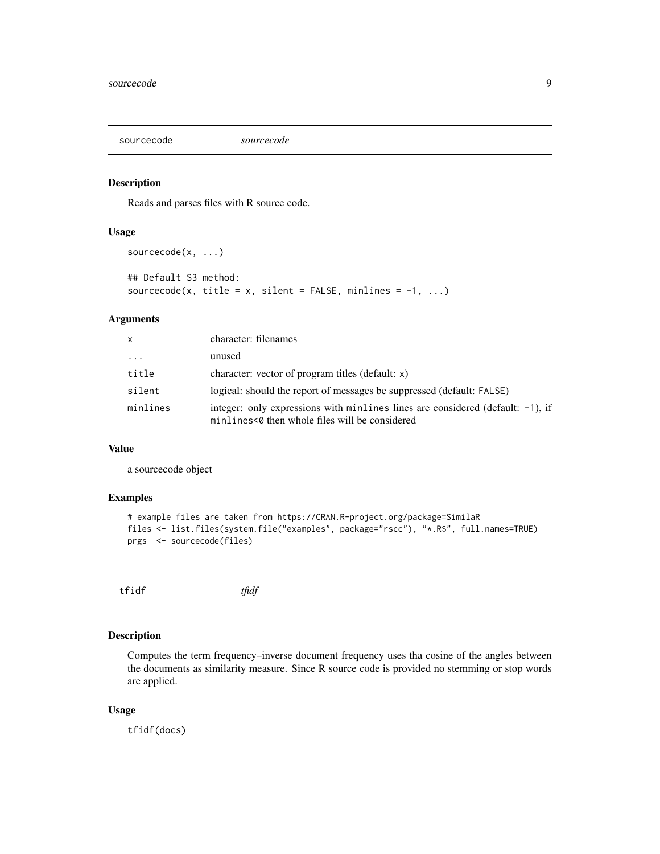<span id="page-8-0"></span>sourcecode *sourcecode*

#### Description

Reads and parses files with R source code.

#### Usage

```
sourcecode(x, ...)
## Default S3 method:
sourcecode(x, title = x, silent = FALSE, minlines = -1, ...)
```
#### Arguments

| $\mathsf{x}$ | character: filenames                                                                                                                |
|--------------|-------------------------------------------------------------------------------------------------------------------------------------|
| $\cdots$     | unused                                                                                                                              |
| title        | character: vector of program titles (default: $x$ )                                                                                 |
| silent       | logical: should the report of messages be suppressed (default: FALSE)                                                               |
| minlines     | integer: only expressions with minlines lines are considered (default: $-1$ ), if<br>minlines<0 then whole files will be considered |

#### Value

a sourcecode object

#### Examples

```
# example files are taken from https://CRAN.R-project.org/package=SimilaR
files <- list.files(system.file("examples", package="rscc"), "*.R$", full.names=TRUE)
prgs <- sourcecode(files)
```

| $\sim$<br>$+$ $ -$ | $\overline{10}$<br>tfidf |  |
|--------------------|--------------------------|--|
|                    |                          |  |

#### Description

Computes the term frequency–inverse document frequency uses tha cosine of the angles between the documents as similarity measure. Since R source code is provided no stemming or stop words are applied.

#### Usage

tfidf(docs)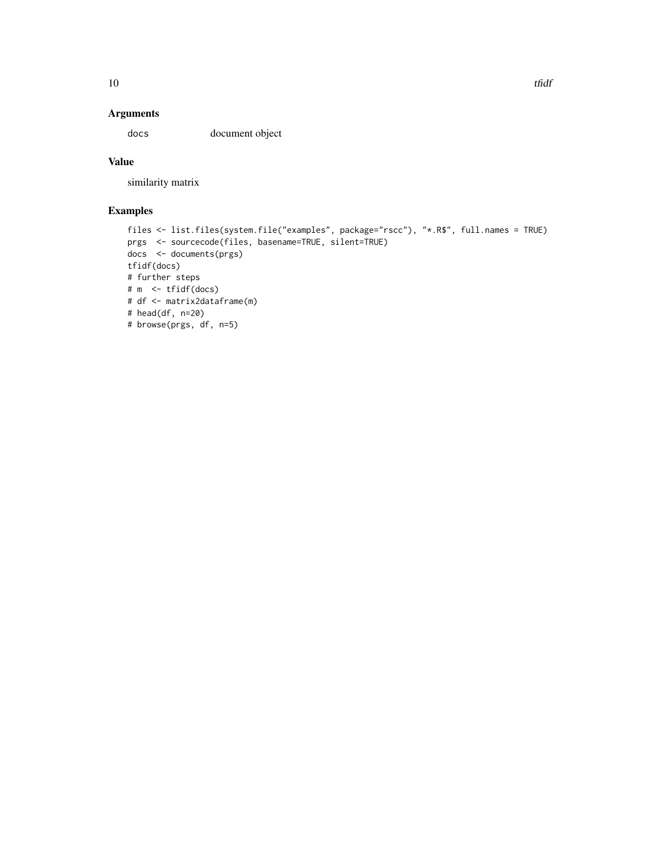#### Arguments

docs document object

#### Value

similarity matrix

#### Examples

```
files <- list.files(system.file("examples", package="rscc"), "*.R$", full.names = TRUE)
prgs <- sourcecode(files, basename=TRUE, silent=TRUE)
docs <- documents(prgs)
tfidf(docs)
# further steps
# m <- tfidf(docs)
# df <- matrix2dataframe(m)
# head(df, n=20)
# browse(prgs, df, n=5)
```